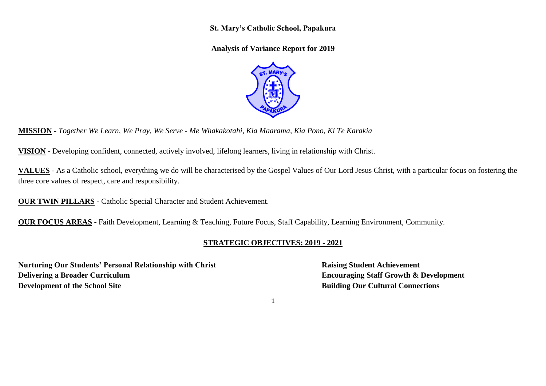**St. Mary's Catholic School, Papakura** 

**Analysis of Variance Report for 2019**



**MISSION -** *Together We Learn, We Pray, We Serve - Me Whakakotahi, Kia Maarama, Kia Pono, Ki Te Karakia*

**VISION** - Developing confident, connected, actively involved, lifelong learners, living in relationship with Christ.

**VALUES** - As a Catholic school, everything we do will be characterised by the Gospel Values of Our Lord Jesus Christ, with a particular focus on fostering the three core values of respect, care and responsibility.

**OUR TWIN PILLARS -** Catholic Special Character and Student Achievement.

**OUR FOCUS AREAS -** Faith Development, Learning & Teaching, Future Focus, Staff Capability, Learning Environment, Community.

## **STRATEGIC OBJECTIVES: 2019 - 2021**

**Nurturing Our Students' Personal Relationship with Christ <b>Raising Student Achievement Delivering a Broader Curriculum Encouraging Staff Growth & Development Development of the School Site Building Our Cultural Connections**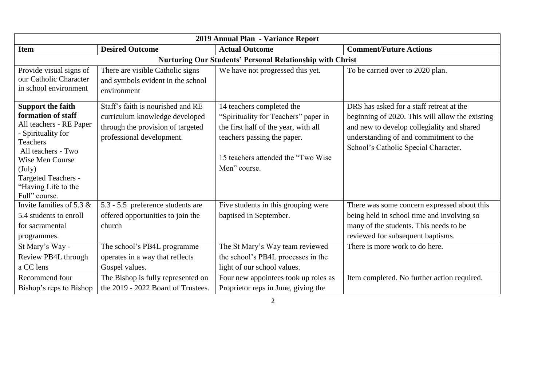| 2019 Annual Plan - Variance Report                                                                                                                                                                                                              |                                                                                                                                       |                                                                                                                                                                                                 |                                                                                                                                                                                                                             |  |
|-------------------------------------------------------------------------------------------------------------------------------------------------------------------------------------------------------------------------------------------------|---------------------------------------------------------------------------------------------------------------------------------------|-------------------------------------------------------------------------------------------------------------------------------------------------------------------------------------------------|-----------------------------------------------------------------------------------------------------------------------------------------------------------------------------------------------------------------------------|--|
| <b>Item</b>                                                                                                                                                                                                                                     | <b>Desired Outcome</b>                                                                                                                | <b>Actual Outcome</b>                                                                                                                                                                           | <b>Comment/Future Actions</b>                                                                                                                                                                                               |  |
|                                                                                                                                                                                                                                                 |                                                                                                                                       | Nurturing Our Students' Personal Relationship with Christ                                                                                                                                       |                                                                                                                                                                                                                             |  |
| Provide visual signs of<br>our Catholic Character<br>in school environment                                                                                                                                                                      | There are visible Catholic signs<br>and symbols evident in the school<br>environment                                                  | We have not progressed this yet.                                                                                                                                                                | To be carried over to 2020 plan.                                                                                                                                                                                            |  |
| <b>Support the faith</b><br>formation of staff<br>All teachers - RE Paper<br>- Spirituality for<br><b>Teachers</b><br>All teachers - Two<br>Wise Men Course<br>$(\mathrm{July})$<br>Targeted Teachers -<br>"Having Life to the<br>Full" course. | Staff's faith is nourished and RE<br>curriculum knowledge developed<br>through the provision of targeted<br>professional development. | 14 teachers completed the<br>"Spirituality for Teachers" paper in<br>the first half of the year, with all<br>teachers passing the paper.<br>15 teachers attended the "Two Wise"<br>Men" course. | DRS has asked for a staff retreat at the<br>beginning of 2020. This will allow the existing<br>and new to develop collegiality and shared<br>understanding of and commitment to the<br>School's Catholic Special Character. |  |
| Invite families of 5.3 $\&$<br>5.4 students to enroll<br>for sacramental<br>programmes.                                                                                                                                                         | 5.3 - 5.5 preference students are<br>offered opportunities to join the<br>church                                                      | Five students in this grouping were<br>baptised in September.                                                                                                                                   | There was some concern expressed about this<br>being held in school time and involving so<br>many of the students. This needs to be<br>reviewed for subsequent baptisms.                                                    |  |
| St Mary's Way -<br>Review PB4L through<br>a CC lens                                                                                                                                                                                             | The school's PB4L programme<br>operates in a way that reflects<br>Gospel values.                                                      | The St Mary's Way team reviewed<br>the school's PB4L processes in the<br>light of our school values.                                                                                            | There is more work to do here.                                                                                                                                                                                              |  |
| Recommend four<br>Bishop's reps to Bishop                                                                                                                                                                                                       | The Bishop is fully represented on<br>the 2019 - 2022 Board of Trustees.                                                              | Four new appointees took up roles as<br>Proprietor reps in June, giving the                                                                                                                     | Item completed. No further action required.                                                                                                                                                                                 |  |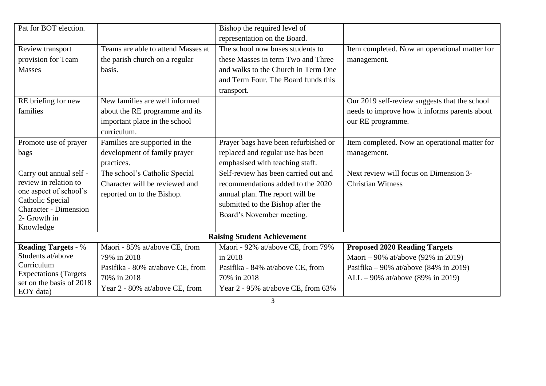| Pat for BOT election.                                     |                                    | Bishop the required level of         |                                               |  |  |
|-----------------------------------------------------------|------------------------------------|--------------------------------------|-----------------------------------------------|--|--|
|                                                           |                                    | representation on the Board.         |                                               |  |  |
| Review transport                                          | Teams are able to attend Masses at | The school now buses students to     | Item completed. Now an operational matter for |  |  |
| provision for Team                                        | the parish church on a regular     | these Masses in term Two and Three   | management.                                   |  |  |
| <b>Masses</b>                                             | basis.                             | and walks to the Church in Term One  |                                               |  |  |
|                                                           |                                    | and Term Four. The Board funds this  |                                               |  |  |
|                                                           |                                    | transport.                           |                                               |  |  |
| RE briefing for new                                       | New families are well informed     |                                      | Our 2019 self-review suggests that the school |  |  |
| families                                                  | about the RE programme and its     |                                      | needs to improve how it informs parents about |  |  |
|                                                           | important place in the school      |                                      | our RE programme.                             |  |  |
|                                                           | curriculum.                        |                                      |                                               |  |  |
| Promote use of prayer                                     | Families are supported in the      | Prayer bags have been refurbished or | Item completed. Now an operational matter for |  |  |
| bags                                                      | development of family prayer       | replaced and regular use has been    | management.                                   |  |  |
|                                                           | practices.                         | emphasised with teaching staff.      |                                               |  |  |
| Carry out annual self -                                   | The school's Catholic Special      | Self-review has been carried out and | Next review will focus on Dimension 3-        |  |  |
| review in relation to                                     | Character will be reviewed and     | recommendations added to the 2020    | <b>Christian Witness</b>                      |  |  |
| one aspect of school's                                    | reported on to the Bishop.         | annual plan. The report will be      |                                               |  |  |
| Catholic Special<br><b>Character - Dimension</b>          |                                    | submitted to the Bishop after the    |                                               |  |  |
| 2- Growth in                                              |                                    | Board's November meeting.            |                                               |  |  |
| Knowledge                                                 |                                    |                                      |                                               |  |  |
| <b>Raising Student Achievement</b>                        |                                    |                                      |                                               |  |  |
| <b>Reading Targets - %</b>                                | Maori - 85% at/above CE, from      | Maori - 92% at/above CE, from 79%    | <b>Proposed 2020 Reading Targets</b>          |  |  |
| Students at/above                                         | 79% in 2018                        | in 2018                              | Maori – 90% at/above (92% in 2019)            |  |  |
| Curriculum                                                | Pasifika - 80% at/above CE, from   | Pasifika - 84% at/above CE, from     | Pasifika – 90% at/above (84% in 2019)         |  |  |
| <b>Expectations (Targets)</b><br>set on the basis of 2018 | 70% in 2018                        | 70% in 2018                          | ALL - 90% at/above (89% in 2019)              |  |  |
| EOY data)                                                 | Year 2 - 80% at/above CE, from     | Year 2 - 95% at/above CE, from 63%   |                                               |  |  |
|                                                           |                                    | 3                                    |                                               |  |  |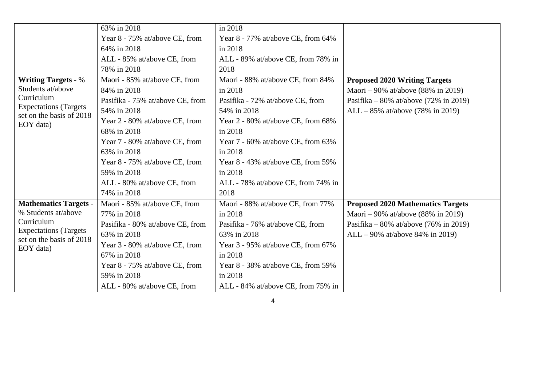|                                                                         | 63% in 2018                      | in 2018                            |                                          |
|-------------------------------------------------------------------------|----------------------------------|------------------------------------|------------------------------------------|
|                                                                         | Year 8 - 75% at/above CE, from   | Year 8 - 77% at/above CE, from 64% |                                          |
|                                                                         | 64% in 2018                      | in 2018                            |                                          |
|                                                                         | ALL - 85% at/above CE, from      | ALL - 89% at/above CE, from 78% in |                                          |
|                                                                         | 78% in 2018                      | 2018                               |                                          |
| <b>Writing Targets - %</b>                                              | Maori - 85% at/above CE, from    | Maori - 88% at/above CE, from 84%  | <b>Proposed 2020 Writing Targets</b>     |
| Students at/above                                                       | 84% in 2018                      | in 2018                            | Maori – 90% at/above (88% in 2019)       |
| Curriculum                                                              | Pasifika - 75% at/above CE, from | Pasifika - 72% at/above CE, from   | Pasifika – 80% at/above (72% in 2019)    |
| <b>Expectations (Targets)</b><br>set on the basis of 2018               | 54% in 2018                      | 54% in 2018                        | $ALL - 85\%$ at/above (78% in 2019)      |
| EOY data)                                                               | Year 2 - 80% at/above CE, from   | Year 2 - 80% at/above CE, from 68% |                                          |
|                                                                         | 68% in 2018                      | in 2018                            |                                          |
|                                                                         | Year 7 - 80% at/above CE, from   | Year 7 - 60% at/above CE, from 63% |                                          |
|                                                                         | 63% in 2018                      | in 2018                            |                                          |
|                                                                         | Year 8 - 75% at/above CE, from   | Year 8 - 43% at/above CE, from 59% |                                          |
|                                                                         | 59% in 2018                      | in 2018                            |                                          |
|                                                                         | ALL - 80% at/above CE, from      | ALL - 78% at/above CE, from 74% in |                                          |
|                                                                         | 74% in 2018                      | 2018                               |                                          |
| <b>Mathematics Targets -</b>                                            | Maori - 85% at/above CE, from    | Maori - 88% at/above CE, from 77%  | <b>Proposed 2020 Mathematics Targets</b> |
| % Students at/above                                                     | 77% in 2018                      | in 2018                            | Maori – 90% at/above (88% in 2019)       |
| Curriculum<br><b>Expectations</b> (Targets)<br>set on the basis of 2018 | Pasifika - 80% at/above CE, from | Pasifika - 76% at/above CE, from   | Pasifika – 80% at/above (76% in 2019)    |
|                                                                         | 63% in 2018                      | 63% in 2018                        | $ALL - 90\%$ at/above 84\% in 2019)      |
| EOY data)                                                               | Year 3 - 80% at/above CE, from   | Year 3 - 95% at/above CE, from 67% |                                          |
|                                                                         | 67% in 2018                      | in 2018                            |                                          |
|                                                                         | Year 8 - 75% at/above CE, from   | Year 8 - 38% at/above CE, from 59% |                                          |
|                                                                         | 59% in 2018                      | in 2018                            |                                          |
|                                                                         | ALL - 80% at/above CE, from      | ALL - 84% at/above CE, from 75% in |                                          |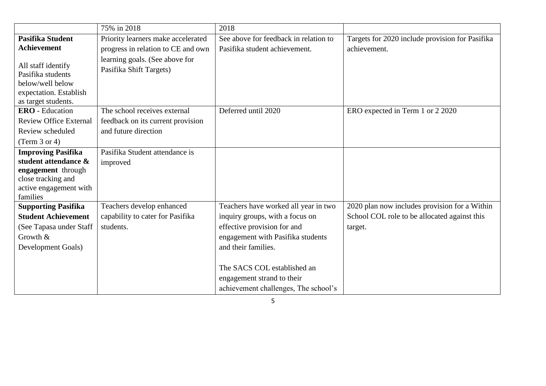|                                                                                                                                     | 75% in 2018                                               | 2018                                                                                                                                                                                                                            |                                                         |
|-------------------------------------------------------------------------------------------------------------------------------------|-----------------------------------------------------------|---------------------------------------------------------------------------------------------------------------------------------------------------------------------------------------------------------------------------------|---------------------------------------------------------|
| Pasifika Student                                                                                                                    | Priority learners make accelerated                        | See above for feedback in relation to                                                                                                                                                                                           | Targets for 2020 include provision for Pasifika         |
| <b>Achievement</b>                                                                                                                  | progress in relation to CE and own                        | Pasifika student achievement.                                                                                                                                                                                                   | achievement.                                            |
| All staff identify<br>Pasifika students<br>below/well below<br>expectation. Establish<br>as target students.                        | learning goals. (See above for<br>Pasifika Shift Targets) |                                                                                                                                                                                                                                 |                                                         |
| <b>ERO</b> - Education                                                                                                              | The school receives external                              | Deferred until 2020                                                                                                                                                                                                             | ERO expected in Term 1 or 2 2020                        |
| <b>Review Office External</b>                                                                                                       | feedback on its current provision                         |                                                                                                                                                                                                                                 |                                                         |
| Review scheduled                                                                                                                    | and future direction                                      |                                                                                                                                                                                                                                 |                                                         |
| (Term $3$ or $4$ )                                                                                                                  |                                                           |                                                                                                                                                                                                                                 |                                                         |
| <b>Improving Pasifika</b><br>student attendance &<br>engagement through<br>close tracking and<br>active engagement with<br>families | Pasifika Student attendance is<br>improved                |                                                                                                                                                                                                                                 |                                                         |
| <b>Supporting Pasifika</b>                                                                                                          | Teachers develop enhanced                                 | Teachers have worked all year in two                                                                                                                                                                                            | 2020 plan now includes provision for a Within           |
| <b>Student Achievement</b><br>(See Tapasa under Staff<br>Growth &<br>Development Goals)                                             | capability to cater for Pasifika<br>students.             | inquiry groups, with a focus on<br>effective provision for and<br>engagement with Pasifika students<br>and their families.<br>The SACS COL established an<br>engagement strand to their<br>achievement challenges, The school's | School COL role to be allocated against this<br>target. |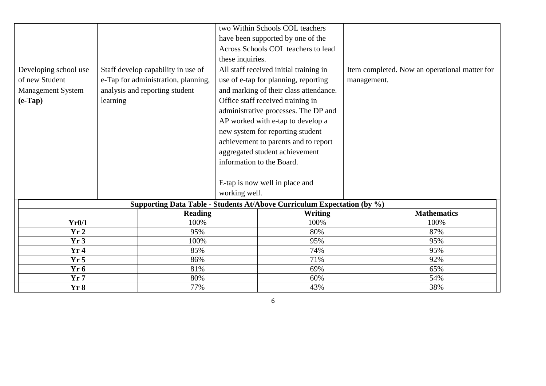|                       |          |                                     |                  | two Within Schools COL teachers                                         |             |                                               |
|-----------------------|----------|-------------------------------------|------------------|-------------------------------------------------------------------------|-------------|-----------------------------------------------|
|                       |          |                                     |                  | have been supported by one of the                                       |             |                                               |
|                       |          |                                     |                  | Across Schools COL teachers to lead                                     |             |                                               |
|                       |          |                                     | these inquiries. |                                                                         |             |                                               |
| Developing school use |          | Staff develop capability in use of  |                  | All staff received initial training in                                  |             | Item completed. Now an operational matter for |
| of new Student        |          | e-Tap for administration, planning, |                  | use of e-tap for planning, reporting                                    | management. |                                               |
| Management System     |          | analysis and reporting student      |                  | and marking of their class attendance.                                  |             |                                               |
| $(e$ -Tap $)$         | learning |                                     |                  | Office staff received training in                                       |             |                                               |
|                       |          |                                     |                  | administrative processes. The DP and                                    |             |                                               |
|                       |          |                                     |                  | AP worked with e-tap to develop a                                       |             |                                               |
|                       |          |                                     |                  | new system for reporting student                                        |             |                                               |
|                       |          |                                     |                  | achievement to parents and to report                                    |             |                                               |
|                       |          |                                     |                  | aggregated student achievement                                          |             |                                               |
|                       |          |                                     |                  | information to the Board.                                               |             |                                               |
|                       |          |                                     |                  |                                                                         |             |                                               |
|                       |          |                                     |                  |                                                                         |             |                                               |
|                       |          |                                     |                  | E-tap is now well in place and                                          |             |                                               |
|                       |          |                                     | working well.    |                                                                         |             |                                               |
|                       |          |                                     |                  | Supporting Data Table - Students At/Above Curriculum Expectation (by %) |             |                                               |
|                       |          | <b>Reading</b>                      |                  | Writing                                                                 |             | <b>Mathematics</b>                            |
| Yr0/1                 |          | 100%                                |                  | 100%                                                                    |             | 100%                                          |
| Yr2                   |          | 95%                                 |                  | 80%                                                                     |             | 87%                                           |
| Yr3                   |          | 100%                                |                  | 95%                                                                     |             | 95%                                           |
| Yr4                   |          | 85%                                 |                  | 74%                                                                     |             | 95%                                           |
| Yr <sub>5</sub>       |          | 86%                                 |                  | 71%                                                                     |             | 92%                                           |
| Yr <sub>6</sub>       |          | 81%                                 |                  | 69%                                                                     |             | 65%                                           |
| Yr7                   |          | 80%                                 |                  | 60%                                                                     |             | 54%                                           |
| Yr8<br>77%            |          |                                     | 43%              |                                                                         | 38%         |                                               |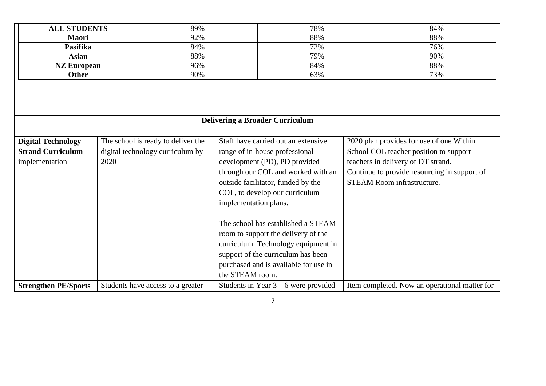| <b>ALL STUDENTS</b>         |      | 89%                                 | 78%                                    | 84%                                           |
|-----------------------------|------|-------------------------------------|----------------------------------------|-----------------------------------------------|
| 92%<br>Maori                |      | 88%                                 | 88%                                    |                                               |
| <b>Pasifika</b>             |      | 84%                                 | 72%                                    | 76%                                           |
| <b>Asian</b>                |      | 88%                                 | 79%                                    | 90%                                           |
| <b>NZ European</b>          |      | 96%                                 | 84%                                    | 88%                                           |
| <b>Other</b>                |      | 90%                                 | 63%                                    | 73%                                           |
|                             |      |                                     |                                        |                                               |
|                             |      |                                     | <b>Delivering a Broader Curriculum</b> |                                               |
| <b>Digital Technology</b>   |      | The school is ready to deliver the  | Staff have carried out an extensive    | 2020 plan provides for use of one Within      |
| <b>Strand Curriculum</b>    |      | digital technology curriculum by    | range of in-house professional         | School COL teacher position to support        |
| implementation              | 2020 |                                     | development (PD), PD provided          | teachers in delivery of DT strand.            |
|                             |      |                                     | through our COL and worked with an     | Continue to provide resourcing in support of  |
|                             |      | outside facilitator, funded by the  | <b>STEAM Room infrastructure.</b>      |                                               |
|                             |      |                                     | COL, to develop our curriculum         |                                               |
|                             |      |                                     | implementation plans.                  |                                               |
|                             |      |                                     |                                        |                                               |
|                             |      | The school has established a STEAM  |                                        |                                               |
|                             |      | room to support the delivery of the |                                        |                                               |
|                             |      | curriculum. Technology equipment in |                                        |                                               |
|                             |      |                                     | support of the curriculum has been     |                                               |
|                             |      |                                     | purchased and is available for use in  |                                               |
|                             |      |                                     | the STEAM room.                        |                                               |
| <b>Strengthen PE/Sports</b> |      | Students have access to a greater   | Students in Year $3 - 6$ were provided | Item completed. Now an operational matter for |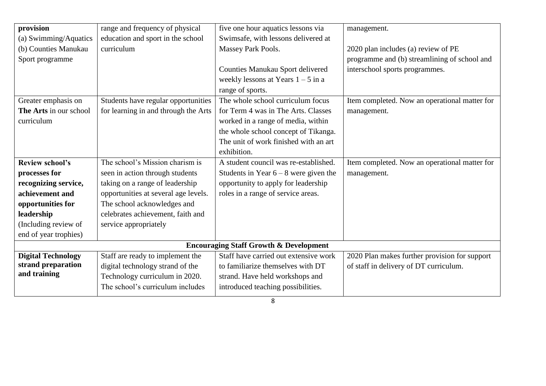| provision                 | range and frequency of physical      | five one hour aquatics lessons via                | management.                                   |
|---------------------------|--------------------------------------|---------------------------------------------------|-----------------------------------------------|
| (a) Swimming/Aquatics     | education and sport in the school    | Swimsafe, with lessons delivered at               |                                               |
| (b) Counties Manukau      | curriculum                           | Massey Park Pools.                                | 2020 plan includes (a) review of PE           |
| Sport programme           |                                      |                                                   | programme and (b) streamlining of school and  |
|                           |                                      | Counties Manukau Sport delivered                  | interschool sports programmes.                |
|                           |                                      | weekly lessons at Years $1 - 5$ in a              |                                               |
|                           |                                      | range of sports.                                  |                                               |
| Greater emphasis on       | Students have regular opportunities  | The whole school curriculum focus                 | Item completed. Now an operational matter for |
| The Arts in our school    | for learning in and through the Arts | for Term 4 was in The Arts. Classes               | management.                                   |
| curriculum                |                                      | worked in a range of media, within                |                                               |
|                           |                                      | the whole school concept of Tikanga.              |                                               |
|                           |                                      | The unit of work finished with an art             |                                               |
|                           |                                      | exhibition.                                       |                                               |
| <b>Review school's</b>    | The school's Mission charism is      | A student council was re-established.             | Item completed. Now an operational matter for |
| processes for             | seen in action through students      | Students in Year $6 - 8$ were given the           | management.                                   |
| recognizing service,      | taking on a range of leadership      | opportunity to apply for leadership               |                                               |
| achievement and           | opportunities at several age levels. | roles in a range of service areas.                |                                               |
| opportunities for         | The school acknowledges and          |                                                   |                                               |
| leadership                | celebrates achievement, faith and    |                                                   |                                               |
| (Including review of      | service appropriately                |                                                   |                                               |
| end of year trophies)     |                                      |                                                   |                                               |
|                           |                                      | <b>Encouraging Staff Growth &amp; Development</b> |                                               |
| <b>Digital Technology</b> | Staff are ready to implement the     | Staff have carried out extensive work             | 2020 Plan makes further provision for support |
| strand preparation        | digital technology strand of the     | to familiarize themselves with DT                 | of staff in delivery of DT curriculum.        |
| and training              | Technology curriculum in 2020.       | strand. Have held workshops and                   |                                               |
|                           | The school's curriculum includes     | introduced teaching possibilities.                |                                               |
|                           |                                      |                                                   |                                               |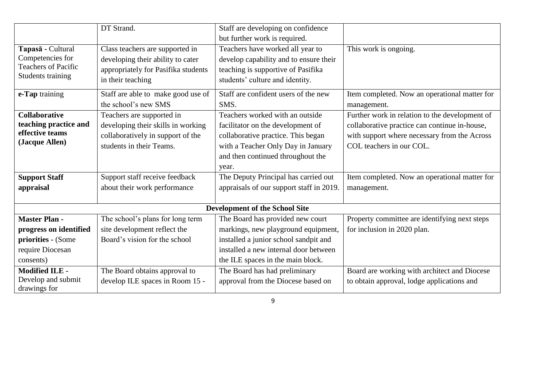|                                       | DT Strand.                                                           | Staff are developing on confidence                                         |                                                |
|---------------------------------------|----------------------------------------------------------------------|----------------------------------------------------------------------------|------------------------------------------------|
|                                       |                                                                      | but further work is required.                                              |                                                |
| Tapasā - Cultural<br>Competencies for | Class teachers are supported in<br>developing their ability to cater | Teachers have worked all year to<br>develop capability and to ensure their | This work is ongoing.                          |
| <b>Teachers of Pacific</b>            | appropriately for Pasifika students                                  | teaching is supportive of Pasifika                                         |                                                |
| Students training                     |                                                                      |                                                                            |                                                |
|                                       | in their teaching                                                    | students' culture and identity.                                            |                                                |
| e-Tap training                        | Staff are able to make good use of                                   | Staff are confident users of the new                                       | Item completed. Now an operational matter for  |
|                                       | the school's new SMS                                                 | SMS.                                                                       | management.                                    |
| <b>Collaborative</b>                  | Teachers are supported in                                            | Teachers worked with an outside                                            | Further work in relation to the development of |
| teaching practice and                 | developing their skills in working                                   | facilitator on the development of                                          | collaborative practice can continue in-house,  |
| effective teams                       | collaboratively in support of the                                    | collaborative practice. This began                                         | with support where necessary from the Across   |
| (Jacque Allen)                        | students in their Teams.                                             | with a Teacher Only Day in January                                         | COL teachers in our COL.                       |
|                                       |                                                                      | and then continued throughout the                                          |                                                |
|                                       |                                                                      | year.                                                                      |                                                |
| <b>Support Staff</b>                  | Support staff receive feedback                                       | The Deputy Principal has carried out                                       | Item completed. Now an operational matter for  |
| appraisal                             | about their work performance                                         | appraisals of our support staff in 2019.                                   | management.                                    |
|                                       |                                                                      |                                                                            |                                                |
|                                       |                                                                      | <b>Development of the School Site</b>                                      |                                                |
| <b>Master Plan -</b>                  | The school's plans for long term                                     | The Board has provided new court                                           | Property committee are identifying next steps  |
| progress on identified                | site development reflect the                                         | markings, new playground equipment,                                        | for inclusion in 2020 plan.                    |
| priorities - (Some                    | Board's vision for the school                                        | installed a junior school sandpit and                                      |                                                |
| require Diocesan                      |                                                                      | installed a new internal door between                                      |                                                |
| consents)                             |                                                                      | the ILE spaces in the main block.                                          |                                                |
| <b>Modified ILE -</b>                 | The Board obtains approval to                                        | The Board has had preliminary                                              | Board are working with architect and Diocese   |
| Develop and submit                    | develop ILE spaces in Room 15 -                                      | approval from the Diocese based on                                         | to obtain approval, lodge applications and     |
| drawings for                          |                                                                      |                                                                            |                                                |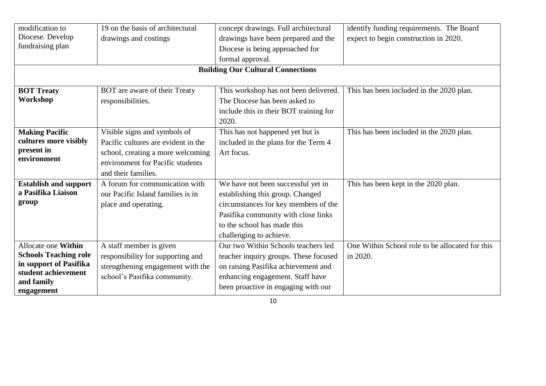| modification to                          | 19 on the basis of architectural    | concept drawings. Full architectural   | identify funding requirements. The Board        |  |  |  |
|------------------------------------------|-------------------------------------|----------------------------------------|-------------------------------------------------|--|--|--|
| Diocese. Develop                         | drawings and costings               | drawings have been prepared and the    | expect to begin construction in 2020.           |  |  |  |
| fundraising plan                         |                                     | Diocese is being approached for        |                                                 |  |  |  |
|                                          |                                     | formal approval.                       |                                                 |  |  |  |
| <b>Building Our Cultural Connections</b> |                                     |                                        |                                                 |  |  |  |
|                                          |                                     |                                        |                                                 |  |  |  |
| <b>BOT Treaty</b>                        | BOT are aware of their Treaty       | This workshop has not been delivered.  | This has been included in the 2020 plan.        |  |  |  |
| Workshop                                 | responsibilities.                   | The Diocese has been asked to          |                                                 |  |  |  |
|                                          |                                     | include this in their BOT training for |                                                 |  |  |  |
|                                          |                                     | 2020.                                  |                                                 |  |  |  |
| <b>Making Pacific</b>                    | Visible signs and symbols of        | This has not happened yet but is       | This has been included in the 2020 plan.        |  |  |  |
| cultures more visibly                    | Pacific cultures are evident in the | included in the plans for the Term 4   |                                                 |  |  |  |
| present in                               | school, creating a more welcoming   | Art focus.                             |                                                 |  |  |  |
| environment                              | environment for Pacific students    |                                        |                                                 |  |  |  |
|                                          | and their families.                 |                                        |                                                 |  |  |  |
| <b>Establish and support</b>             | A forum for communication with      | We have not been successful yet in     | This has been kept in the 2020 plan.            |  |  |  |
| a Pasifika Liaison                       | our Pacific Island families is in   | establishing this group. Changed       |                                                 |  |  |  |
| group                                    | place and operating.                | circumstances for key members of the   |                                                 |  |  |  |
|                                          |                                     | Pasifika community with close links    |                                                 |  |  |  |
|                                          |                                     | to the school has made this            |                                                 |  |  |  |
|                                          |                                     | challenging to achieve.                |                                                 |  |  |  |
| Allocate one Within                      | A staff member is given             | Our two Within Schools teachers led    | One Within School role to be allocated for this |  |  |  |
| <b>Schools Teaching role</b>             | responsibility for supporting and   | teacher inquiry groups. These focused  | in 2020.                                        |  |  |  |
| in support of Pasifika                   | strengthening engagement with the   | on raising Pasifika achievement and    |                                                 |  |  |  |
| student achievement                      | school's Pasifika community.        | enhancing engagement. Staff have       |                                                 |  |  |  |
| and family                               |                                     | been proactive in engaging with our    |                                                 |  |  |  |
| engagement                               |                                     |                                        |                                                 |  |  |  |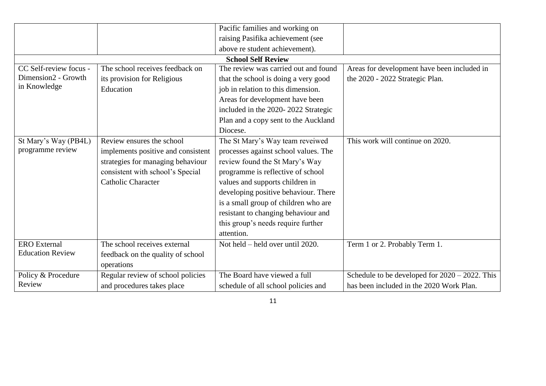|                         |                                    | Pacific families and working on      |                                                   |
|-------------------------|------------------------------------|--------------------------------------|---------------------------------------------------|
|                         |                                    | raising Pasifika achievement (see    |                                                   |
|                         |                                    | above re student achievement).       |                                                   |
|                         |                                    | <b>School Self Review</b>            |                                                   |
| CC Self-review focus -  | The school receives feedback on    | The review was carried out and found | Areas for development have been included in       |
| Dimension2 - Growth     | its provision for Religious        | that the school is doing a very good | the 2020 - 2022 Strategic Plan.                   |
| in Knowledge            | Education                          | job in relation to this dimension.   |                                                   |
|                         |                                    | Areas for development have been      |                                                   |
|                         |                                    | included in the 2020-2022 Strategic  |                                                   |
|                         |                                    | Plan and a copy sent to the Auckland |                                                   |
|                         |                                    | Diocese.                             |                                                   |
| St Mary's Way (PB4L)    | Review ensures the school          | The St Mary's Way team reveiwed      | This work will continue on 2020.                  |
| programme review        | implements positive and consistent | processes against school values. The |                                                   |
|                         | strategies for managing behaviour  | review found the St Mary's Way       |                                                   |
|                         | consistent with school's Special   | programme is reflective of school    |                                                   |
|                         | <b>Catholic Character</b>          | values and supports children in      |                                                   |
|                         |                                    | developing positive behaviour. There |                                                   |
|                         |                                    | is a small group of children who are |                                                   |
|                         |                                    | resistant to changing behaviour and  |                                                   |
|                         |                                    | this group's needs require further   |                                                   |
|                         |                                    | attention.                           |                                                   |
| <b>ERO</b> External     | The school receives external       | Not held – held over until 2020.     | Term 1 or 2. Probably Term 1.                     |
| <b>Education Review</b> | feedback on the quality of school  |                                      |                                                   |
|                         | operations                         |                                      |                                                   |
| Policy & Procedure      | Regular review of school policies  | The Board have viewed a full         | Schedule to be developed for $2020 - 2022$ . This |
| Review                  | and procedures takes place         | schedule of all school policies and  | has been included in the 2020 Work Plan.          |